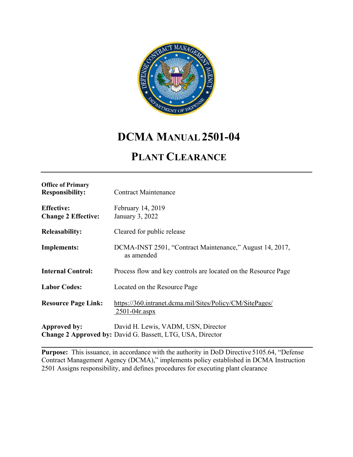

# **DCMA MANUAL 2501-04**

# **PLANT CLEARANCE**

| <b>Office of Primary</b><br><b>Responsibility:</b> | <b>Contract Maintenance</b>                                                                              |
|----------------------------------------------------|----------------------------------------------------------------------------------------------------------|
| <b>Effective:</b><br><b>Change 2 Effective:</b>    | February 14, 2019<br>January 3, 2022                                                                     |
| <b>Releasability:</b>                              | Cleared for public release                                                                               |
| Implements:                                        | DCMA-INST 2501, "Contract Maintenance," August 14, 2017,<br>as amended                                   |
| <b>Internal Control:</b>                           | Process flow and key controls are located on the Resource Page                                           |
| <b>Labor Codes:</b>                                | Located on the Resource Page                                                                             |
| <b>Resource Page Link:</b>                         | https://360.intranet.dcma.mil/Sites/Policy/CM/SitePages/<br>$2501 - 04r \n  aspx$                        |
| Approved by:                                       | David H. Lewis, VADM, USN, Director<br><b>Change 2 Approved by: David G. Bassett, LTG, USA, Director</b> |

**Purpose:** This issuance, in accordance with the authority in DoD Directive 5105.64, "Defense" Contract Management Agency (DCMA)," implements policy established in DCMA Instruction 2501 Assigns responsibility, and defines procedures for executing plant clearance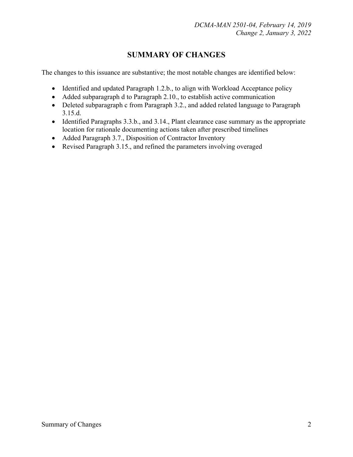## **SUMMARY OF CHANGES**

The changes to this issuance are substantive; the most notable changes are identified below:

- Identified and updated Paragraph 1.2.b., to align with Workload Acceptance policy
- Added subparagraph d to Paragraph 2.10., to establish active communication
- Deleted subparagraph c from Paragraph 3.2., and added related language to Paragraph 3.15.d.
- Identified Paragraphs 3.3.b., and 3.14., Plant clearance case summary as the appropriate location for rationale documenting actions taken after prescribed timelines
- Added Paragraph 3.7., Disposition of Contractor Inventory
- Revised Paragraph 3.15., and refined the parameters involving overaged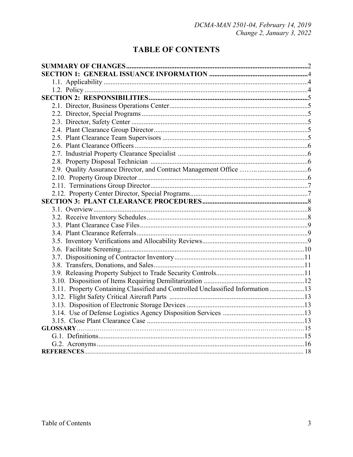## **TABLE OF CONTENTS**

| 3.11. Property Containing Classified and Controlled Unclassified Information 13 |  |
|---------------------------------------------------------------------------------|--|
|                                                                                 |  |
|                                                                                 |  |
|                                                                                 |  |
|                                                                                 |  |
|                                                                                 |  |
|                                                                                 |  |
|                                                                                 |  |
|                                                                                 |  |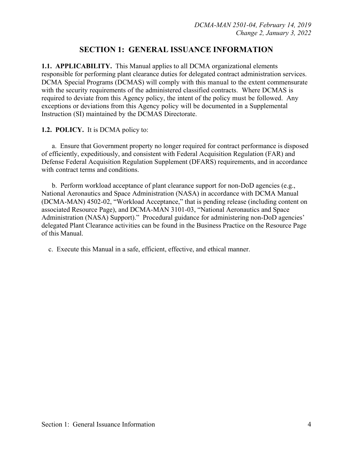### **SECTION 1: GENERAL ISSUANCE INFORMATION**

**1.1. APPLICABILITY.** This Manual applies to all DCMA organizational elements responsible for performing plant clearance duties for delegated contract administration services. DCMA Special Programs (DCMAS) will comply with this manual to the extent commensurate with the security requirements of the administered classified contracts. Where DCMAS is required to deviate from this Agency policy, the intent of the policy must be followed. Any exceptions or deviations from this Agency policy will be documented in a Supplemental Instruction (SI) maintained by the DCMAS Directorate.

#### **1.2. POLICY.** It is DCMA policy to:

a. Ensure that Government property no longer required for contract performance is disposed of efficiently, expeditiously, and consistent with Federal Acquisition Regulation (FAR) and Defense Federal Acquisition Regulation Supplement (DFARS) requirements, and in accordance with contract terms and conditions.

 b. Perform workload acceptance of plant clearance support for non-DoD agencies (e.g., National Aeronautics and Space Administration (NASA) in accordance with DCMA Manual (DCMA-MAN) 4502-02, "Workload Acceptance," that is pending release (including content on associated Resource Page), and DCMA-MAN 3101-03, "National Aeronautics and Space Administration (NASA) Support)." Procedural guidance for administering non-DoD agencies' delegated Plant Clearance activities can be found in the Business Practice on the Resource Page of this Manual.

c. Execute this Manual in a safe, efficient, effective, and ethical manner.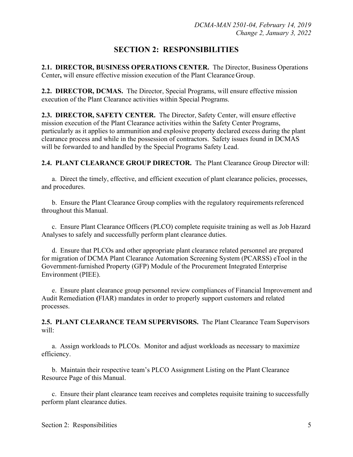## **SECTION 2: RESPONSIBILITIES**

**2.1. DIRECTOR, BUSINESS OPERATIONS CENTER.** The Director, Business Operations Center**,** will ensure effective mission execution of the Plant Clearance Group.

**2.2. DIRECTOR, DCMAS.** The Director, Special Programs, will ensure effective mission execution of the Plant Clearance activities within Special Programs.

**2.3. DIRECTOR, SAFETY CENTER.** The Director, Safety Center, will ensure effective mission execution of the Plant Clearance activities within the Safety Center Programs, particularly as it applies to ammunition and explosive property declared excess during the plant clearance process and while in the possession of contractors. Safety issues found in DCMAS will be forwarded to and handled by the Special Programs Safety Lead.

**2.4. PLANT CLEARANCE GROUP DIRECTOR.** The Plant Clearance Group Director will:

a. Direct the timely, effective, and efficient execution of plant clearance policies, processes, and procedures.

b. Ensure the Plant Clearance Group complies with the regulatory requirements referenced throughout this Manual.

c. Ensure Plant Clearance Officers (PLCO) complete requisite training as well as Job Hazard Analyses to safely and successfully perform plant clearance duties.

d. Ensure that PLCOs and other appropriate plant clearance related personnel are prepared for migration of DCMA Plant Clearance Automation Screening System (PCARSS) eTool in the Government-furnished Property (GFP) Module of the Procurement Integrated Enterprise Environment (PIEE).

e. Ensure plant clearance group personnel review compliances of Financial Improvement and Audit Remediation **(**FIAR) mandates in order to properly support customers and related processes.

**2.5. PLANT CLEARANCE TEAM SUPERVISORS.** The Plant Clearance Team Supervisors will:

a. Assign workloads to PLCOs. Monitor and adjust workloads as necessary to maximize efficiency.

b. Maintain their respective team's PLCO Assignment Listing on the Plant Clearance Resource Page of this Manual.

c. Ensure their plant clearance team receives and completes requisite training to successfully perform plant clearance duties.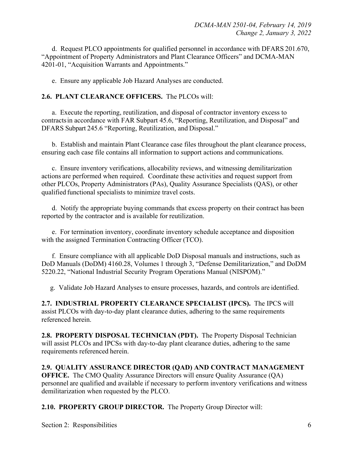d. Request PLCO appointments for qualified personnel in accordance with DFARS 201.670, "Appointment of Property Administrators and Plant Clearance Officers" and DCMA-MAN 4201-01, "Acquisition Warrants and Appointments."

e. Ensure any applicable Job Hazard Analyses are conducted.

#### **2.6. PLANT CLEARANCE OFFICERS.** The PLCOs will:

 a. Execute the reporting, reutilization, and disposal of contractor inventory excess to contractsin accordance with FAR Subpart 45.6, "Reporting, Reutilization, and Disposal" and DFARS Subpart 245.6 "Reporting, Reutilization, and Disposal."

 b. Establish and maintain Plant Clearance case files throughout the plant clearance process, ensuring each case file contains all information to support actions and communications.

 c. Ensure inventory verifications, allocability reviews, and witnessing demilitarization actions are performed when required. Coordinate these activities and request support from other PLCOs, Property Administrators (PAs), Quality Assurance Specialists (QAS), or other qualified functional specialists to minimize travel costs.

 d. Notify the appropriate buying commands that excess property on their contract has been reported by the contractor and is available for reutilization.

 e. For termination inventory, coordinate inventory schedule acceptance and disposition with the assigned Termination Contracting Officer (TCO).

 f. Ensure compliance with all applicable DoD Disposal manuals and instructions, such as DoD Manuals (DoDM) 4160.28, Volumes 1 through 3, "Defense Demilitarization," and DoDM 5220.22, "National Industrial Security Program Operations Manual (NISPOM)."

g. Validate Job Hazard Analyses to ensure processes, hazards, and controls are identified.

**2.7. INDUSTRIAL PROPERTY CLEARANCE SPECIALIST (IPCS).** The IPCS will assist PLCOs with day-to-day plant clearance duties, adhering to the same requirements referenced herein.

**2.8. PROPERTY DISPOSAL TECHNICIAN (PDT).** The Property Disposal Technician will assist PLCOs and IPCSs with day-to-day plant clearance duties, adhering to the same requirements referenced herein.

**2.9. QUALITY ASSURANCE DIRECTOR (QAD) AND CONTRACT MANAGEMENT OFFICE.** The CMO Quality Assurance Directors will ensure Quality Assurance (OA) personnel are qualified and available if necessary to perform inventory verifications and witness demilitarization when requested by the PLCO.

**2.10. PROPERTY GROUP DIRECTOR.** The Property Group Director will:

Section 2: Responsibilities 6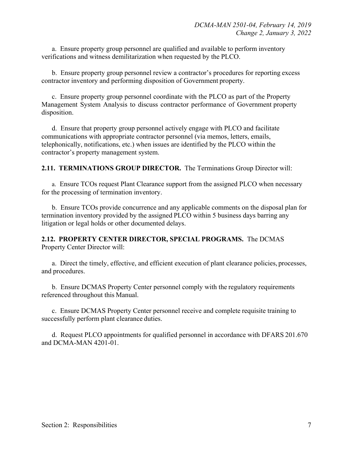a. Ensure property group personnel are qualified and available to perform inventory verifications and witness demilitarization when requested by the PLCO.

 b. Ensure property group personnel review a contractor's procedures for reporting excess contractor inventory and performing disposition of Government property.

 c. Ensure property group personnel coordinate with the PLCO as part of the Property Management System Analysis to discuss contractor performance of Government property disposition.

 d. Ensure that property group personnel actively engage with PLCO and facilitate communications with appropriate contractor personnel (via memos, letters, emails, telephonically, notifications, etc.) when issues are identified by the PLCO within the contractor's property management system.

**2.11. TERMINATIONS GROUP DIRECTOR.** The Terminations Group Director will:

a. Ensure TCOs request Plant Clearance support from the assigned PLCO when necessary for the processing of termination inventory.

b. Ensure TCOs provide concurrence and any applicable comments on the disposal plan for termination inventory provided by the assigned PLCO within 5 business days barring any litigation or legal holds or other documented delays.

**2.12. PROPERTY CENTER DIRECTOR, SPECIAL PROGRAMS.** The DCMAS Property Center Director will:

 a. Direct the timely, effective, and efficient execution of plant clearance policies, processes, and procedures.

 b. Ensure DCMAS Property Center personnel comply with the regulatory requirements referenced throughout this Manual.

 c. Ensure DCMAS Property Center personnel receive and complete requisite training to successfully perform plant clearance duties.

 d. Request PLCO appointments for qualified personnel in accordance with DFARS 201.670 and DCMA-MAN 4201-01.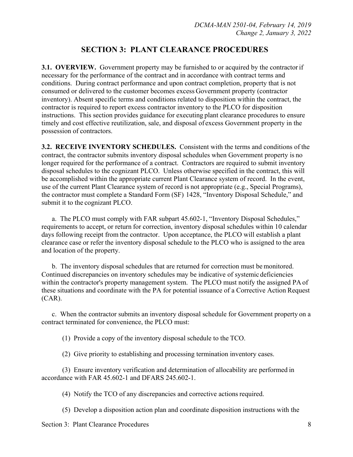## **SECTION 3: PLANT CLEARANCE PROCEDURES**

**3.1. OVERVIEW.** Government property may be furnished to or acquired by the contractor if necessary for the performance of the contract and in accordance with contract terms and conditions. During contract performance and upon contract completion, property that is not consumed or delivered to the customer becomes excess Government property (contractor inventory). Absent specific terms and conditions related to disposition within the contract, the contractor is required to report excess contractor inventory to the PLCO for disposition instructions. This section provides guidance for executing plant clearance procedures to ensure timely and cost effective reutilization, sale, and disposal of excess Government property in the possession of contractors.

**3.2. RECEIVE INVENTORY SCHEDULES.** Consistent with the terms and conditions of the contract, the contractor submits inventory disposal schedules when Government property is no longer required for the performance of a contract. Contractors are required to submit inventory disposal schedules to the cognizant PLCO. Unless otherwise specified in the contract, this will be accomplished within the appropriate current Plant Clearance system of record. In the event, use of the current Plant Clearance system of record is not appropriate (e.g., Special Programs), the contractor must complete a Standard Form (SF) 1428, "Inventory Disposal Schedule," and submit it to the cognizant PLCO.

 a. The PLCO must comply with FAR subpart 45.602-1, "Inventory Disposal Schedules," requirements to accept, or return for correction, inventory disposal schedules within 10 calendar days following receipt from the contractor. Upon acceptance, the PLCO will establish a plant clearance case or refer the inventory disposal schedule to the PLCO who is assigned to the area and location of the property.

 b. The inventory disposal schedules that are returned for correction must be monitored. Continued discrepancies on inventory schedules may be indicative of systemic deficiencies within the contractor's property management system. The PLCO must notify the assigned PA of these situations and coordinate with the PA for potential issuance of a Corrective Action Request (CAR).

 c. When the contractor submits an inventory disposal schedule for Government property on a contract terminated for convenience, the PLCO must:

(1) Provide a copy of the inventory disposal schedule to the TCO.

(2) Give priority to establishing and processing termination inventory cases.

(3) Ensure inventory verification and determination of allocability are performed in accordance with FAR 45.602-1 and DFARS 245.602-1.

(4) Notify the TCO of any discrepancies and corrective actions required.

(5) Develop a disposition action plan and coordinate disposition instructions with the

Section 3: Plant Clearance Procedures 8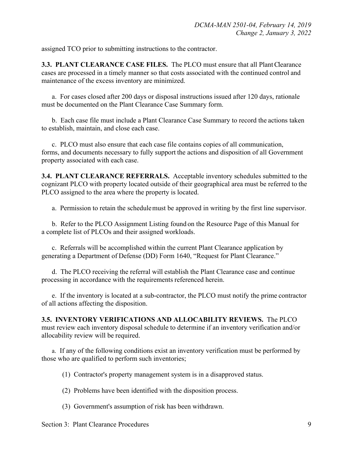assigned TCO prior to submitting instructions to the contractor.

**3.3. PLANT CLEARANCE CASE FILES.** The PLCO must ensure that all Plant Clearance cases are processed in a timely manner so that costs associated with the continued control and maintenance of the excess inventory are minimized.

 a. For cases closed after 200 days or disposal instructions issued after 120 days, rationale must be documented on the Plant Clearance Case Summary form.

b. Each case file must include a Plant Clearance Case Summary to record the actions taken to establish, maintain, and close each case.

 c. PLCO must also ensure that each case file contains copies of all communication, forms, and documents necessary to fully support the actions and disposition of all Government property associated with each case.

**3.4. PLANT CLEARANCE REFERRALS.** Acceptable inventory schedules submitted to the cognizant PLCO with property located outside of their geographical area must be referred to the PLCO assigned to the area where the property is located.

a. Permission to retain the schedule must be approved in writing by the first line supervisor.

b. Refer to the PLCO Assignment Listing found on the Resource Page of this Manual for a complete list of PLCOs and their assigned workloads.

c.Referrals will be accomplished within the current Plant Clearance application by generating a Department of Defense (DD) Form 1640, "Request for Plant Clearance."

 d. The PLCO receiving the referral will establish the Plant Clearance case and continue processing in accordance with the requirements referenced herein.

 e. If the inventory is located at a sub-contractor, the PLCO must notify the prime contractor of all actions affecting the disposition.

**3.5. INVENTORY VERIFICATIONS AND ALLOCABILITY REVIEWS.** The PLCO must review each inventory disposal schedule to determine if an inventory verification and/or allocability review will be required.

a. If any of the following conditions exist an inventory verification must be performed by those who are qualified to perform such inventories;

(1) Contractor's property management system is in a disapproved status.

(2) Problems have been identified with the disposition process.

(3) Government's assumption of risk has been withdrawn.

Section 3: Plant Clearance Procedures 9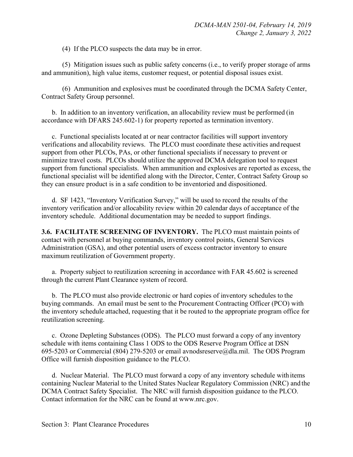(4) If the PLCO suspects the data may be in error.

 (5) Mitigation issues such as public safety concerns (i.e., to verify proper storage of arms and ammunition), high value items, customer request, or potential disposal issues exist.

 (6) Ammunition and explosives must be coordinated through the DCMA Safety Center, Contract Safety Group personnel.

 b. In addition to an inventory verification, an allocability review must be performed (in accordance with DFARS 245.602-1) for property reported as termination inventory.

 c. Functional specialists located at or near contractor facilities will support inventory verifications and allocability reviews. The PLCO must coordinate these activities and request support from other PLCOs, PAs, or other functional specialists if necessary to prevent or minimize travel costs. PLCOs should utilize the approved DCMA delegation tool to request support from functional specialists. When ammunition and explosives are reported as excess, the functional specialist will be identified along with the Director, Center, Contract Safety Group so they can ensure product is in a safe condition to be inventoried and dispositioned.

 d. SF 1423, "Inventory Verification Survey," will be used to record the results of the inventory verification and/or allocability review within 20 calendar days of acceptance of the inventory schedule. Additional documentation may be needed to support findings.

**3.6. FACILITATE SCREENING OF INVENTORY.** The PLCO must maintain points of contact with personnel at buying commands, inventory control points, General Services Administration (GSA), and other potential users of excess contractor inventory to ensure maximum reutilization of Government property.

a. Property subject to reutilization screening in accordance with FAR 45.602 is screened through the current Plant Clearance system of record.

b. The PLCO must also provide electronic or hard copies of inventory schedules to the buying commands. An email must be sent to the Procurement Contracting Officer (PCO) with the inventory schedule attached, requesting that it be routed to the appropriate program office for reutilization screening.

c. Ozone Depleting Substances (ODS). The PLCO must forward a copy of any inventory schedule with items containing Class 1 ODS to the ODS Reserve Program Office at DSN 695-5203 or Commercial (80[4\) 279-5203 or email avnodsreserve@dla.mil.](mailto:avnodsreserve@dla.mil) The ODS Program Office will furnish disposition guidance to the PLCO.

 d. Nuclear Material. The PLCO must forward a copy of any inventory schedule with items containing Nuclear Material to the United States Nuclear Regulatory Commission (NRC) and the DCMA Contract Safety Specialist. The NRC will furnish disposition guidance to the PLCO. Contact information for the NRC can be found at [www.nrc.gov.](http://www.nrc.gov/)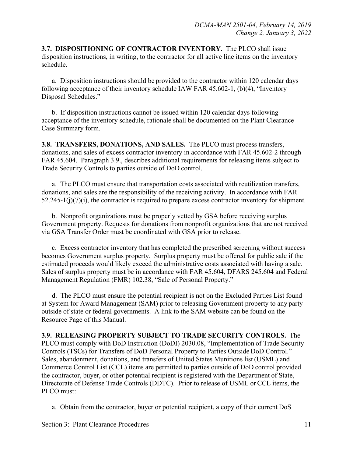**3.7. DISPOSITIONING OF CONTRACTOR INVENTORY.** The PLCO shall issue disposition instructions, in writing, to the contractor for all active line items on the inventory schedule.

 a. Disposition instructions should be provided to the contractor within 120 calendar days following acceptance of their inventory schedule IAW FAR 45.602-1, (b)(4), "Inventory Disposal Schedules."

 b. If disposition instructions cannot be issued within 120 calendar days following acceptance of the inventory schedule, rationale shall be documented on the Plant Clearance Case Summary form.

**3.8. TRANSFERS, DONATIONS, AND SALES.** The PLCO must process transfers, donations, and sales of excess contractor inventory in accordance with FAR 45.602-2 through FAR 45.604. Paragraph 3.9., describes additional requirements for releasing items subject to Trade Security Controls to parties outside of DoD control.

 a. The PLCO must ensure that transportation costs associated with reutilization transfers, donations, and sales are the responsibility of the receiving activity. In accordance with FAR  $52.245-1(j)(7)(i)$ , the contractor is required to prepare excess contractor inventory for shipment.

 b. Nonprofit organizations must be properly vetted by GSA before receiving surplus Government property. Requests for donations from nonprofit organizations that are not received via GSA Transfer Order must be coordinated with GSA prior to release.

 c. Excess contractor inventory that has completed the prescribed screening without success becomes Government surplus property. Surplus property must be offered for public sale if the estimated proceeds would likely exceed the administrative costs associated with having a sale. Sales of surplus property must be in accordance with FAR 45.604, DFARS 245.604 and Federal Management Regulation (FMR) 102.38, "Sale of Personal Property."

d. The PLCO must ensure the potential recipient is not on the Excluded Parties List found at System for Award Management (SAM) prior to releasing Government property to any party outside of state or federal governments. A link to the SAM website can be found on the Resource Page of this Manual.

**3.9. RELEASING PROPERTY SUBJECT TO TRADE SECURITY CONTROLS.** The PLCO must comply with DoD Instruction (DoDI) 2030.08, "Implementation of Trade Security Controls (TSCs) for Transfers of DoD Personal Property to Parties Outside DoD Control." Sales, abandonment, donations, and transfers of United States Munitions list (USML) and Commerce Control List (CCL) items are permitted to parties outside of DoD control provided the contractor, buyer, or other potential recipient is registered with the Department of State, Directorate of Defense Trade Controls (DDTC). Prior to release of USML or CCL items, the PLCO must:

a. Obtain from the contractor, buyer or potential recipient, a copy of their current DoS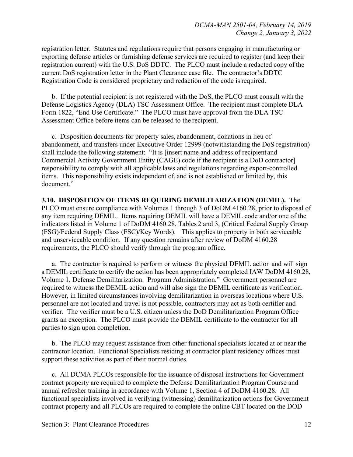registration letter. Statutes and regulations require that persons engaging in manufacturing or exporting defense articles or furnishing defense services are required to register (and keep their registration current) with the U.S. DoS DDTC. The PLCO must include a redacted copy of the current DoS registration letter in the Plant Clearance case file. The contractor's DDTC Registration Code is considered proprietary and redaction of the code is required.

 b. If the potential recipient is not registered with the DoS, the PLCO must consult with the Defense Logistics Agency (DLA) TSC Assessment Office. The recipient must complete DLA Form 1822, "End Use Certificate." The PLCO must have approval from the DLA TSC Assessment Office before items can be released to the recipient.

 c. Disposition documents for property sales, abandonment, donations in lieu of abandonment, and transfers under Executive Order 12999 (notwithstanding the DoS registration) shall include the following statement: "It is [insert name and address of recipient and Commercial Activity Government Entity (CAGE) code if the recipient is a DoD contractor] responsibility to comply with all applicable laws and regulations regarding export-controlled items. This responsibility exists independent of, and is not established or limited by, this document."

**3.10. DISPOSITION OF ITEMS REQUIRING DEMILITARIZATION (DEMIL).** The PLCO must ensure compliance with Volumes 1 through 3 of DoDM 4160.28, prior to disposal of any item requiring DEMIL. Items requiring DEMIL will have a DEMIL code and/or one of the indicators listed in Volume 1 of DoDM 4160.28, Tables 2 and 3, (Critical Federal Supply Group (FSG)/Federal Supply Class (FSC)/Key Words). This applies to property in both serviceable and unserviceable condition. If any question remains after review of DoDM 4160.28 requirements, the PLCO should verify through the program office.

a. The contractor is required to perform or witness the physical DEMIL action and will sign a DEMIL certificate to certify the action has been appropriately completed IAW DoDM 4160.28, Volume 1, Defense Demilitarization: Program Administration." Government personnel are required to witness the DEMIL action and will also sign the DEMIL certificate as verification. However, in limited circumstances involving demilitarization in overseas locations where U.S. personnel are not located and travel is not possible, contractors may act as both certifier and verifier. The verifier must be a U.S. citizen unless the DoD Demilitarization Program Office grants an exception. The PLCO must provide the DEMIL certificate to the contractor for all parties to sign upon completion.

 b. The PLCO may request assistance from other functional specialists located at or near the contractor location. Functional Specialists residing at contractor plant residency offices must support these activities as part of their normal duties.

c. All DCMA PLCOs responsible for the issuance of disposal instructions for Government contract property are required to complete the Defense Demilitarization Program Course and annual refresher training in accordance with Volume 1, Section 4 of DoDM 4160.28. All functional specialists involved in verifying (witnessing) demilitarization actions for Government contract property and all PLCOs are required to complete the online CBT located on the DOD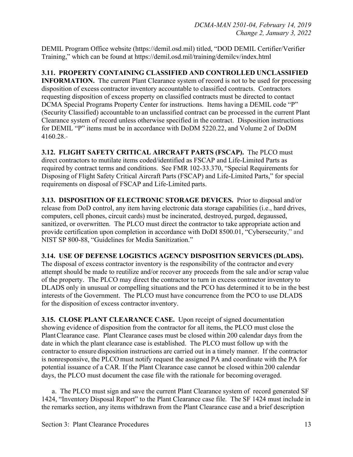DEMIL Program Office website (https://demil.osd.mil) titled, "DOD DEMIL Certifier/Verifier Training," which can be found at https://demil.osd.mil/training/demilcv/index.html

#### **3.11. PROPERTY CONTAINING CLASSIFIED AND CONTROLLED UNCLASSIFIED**

**INFORMATION.** The current Plant Clearance system of record is not to be used for processing disposition of excess contractor inventory accountable to classified contracts. Contractors requesting disposition of excess property on classified contracts must be directed to contact DCMA Special Programs Property Center for instructions. Items having a DEMIL code "P" (Security Classified) accountable to an unclassified contract can be processed in the current Plant Clearance system of record unless otherwise specified in the contract. Disposition instructions for DEMIL "P" items must be in accordance with DoDM 5220.22, and Volume 2 of DoDM 4160.28.

**3.12. FLIGHT SAFETY CRITICAL AIRCRAFT PARTS (FSCAP).** The PLCO must direct contractors to mutilate items coded/identified as FSCAP and Life-Limited Parts as required by contract terms and conditions. See FMR 102-33.370, "Special Requirements for Disposing of Flight Safety Critical Aircraft Parts (FSCAP) and Life-Limited Parts," for special requirements on disposal of FSCAP and Life-Limited parts.

**3.13. DISPOSITION OF ELECTRONIC STORAGE DEVICES.** Prior to disposal and/or release from DoD control, any item having electronic data storage capabilities (i.e., hard drives, computers, cell phones, circuit cards) must be incinerated, destroyed, purged, degaussed, sanitized, or overwritten. The PLCO must direct the contractor to take appropriate action and provide certification upon completion in accordance with DoDI 8500.01, "Cybersecurity," and NIST SP 800-88, "Guidelines for Media Sanitization."

#### **3.14. USE OF DEFENSE LOGISTICS AGENCY DISPOSITION SERVICES (DLADS).**

The disposal of excess contractor inventory is the responsibility of the contractor and every attempt should be made to reutilize and/or recover any proceeds from the sale and/or scrap value of the property. The PLCO may direct the contractor to turn in excess contractor inventory to DLADS only in unusual or compelling situations and the PCO has determined it to be in the best interests of the Government. The PLCO must have concurrence from the PCO to use DLADS for the disposition of excess contractor inventory.

**3.15. CLOSE PLANT CLEARANCE CASE.** Upon receipt of signed documentation showing evidence of disposition from the contractor for all items, the PLCO must close the PlantClearance case. Plant Clearance cases must be closed within 200 calendar days from the date in which the plant clearance case is established. The PLCO must follow up with the contractor to ensure disposition instructions are carried out in a timely manner. If the contractor is nonresponsive, the PLCO must notify request the assigned PA and coordinate with the PA for potential issuance of a CAR*.* If the Plant Clearance case cannot be closed within 200 calendar days, the PLCO must document the case file with the rationale for becoming overaged.

 a. The PLCO must sign and save the current Plant Clearance system of record generated SF 1424, "Inventory Disposal Report" to the Plant Clearance case file. The SF 1424 must include in the remarks section, any items withdrawn from the Plant Clearance case and a brief description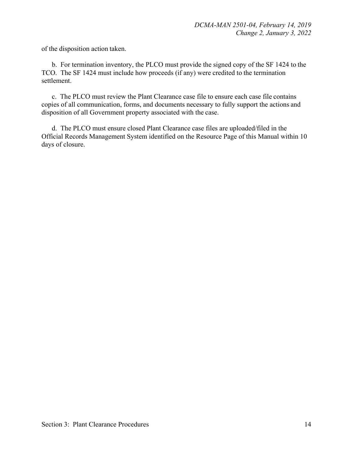of the disposition action taken.

 b. For termination inventory, the PLCO must provide the signed copy of the SF 1424 to the TCO. The SF 1424 must include how proceeds (if any) were credited to the termination settlement.

 c. The PLCO must review the Plant Clearance case file to ensure each case file contains copies of all communication, forms, and documents necessary to fully support the actions and disposition of all Government property associated with the case.

 d. The PLCO must ensure closed Plant Clearance case files are uploaded/filed in the Official Records Management System identified on the Resource Page of this Manual within 10 days of closure.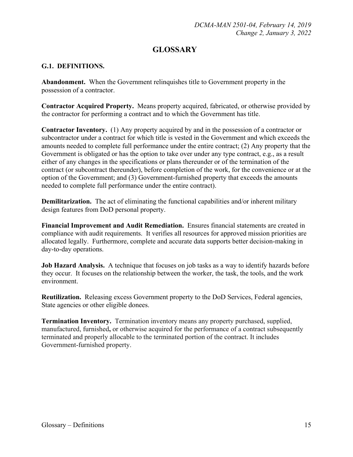## **GLOSSARY**

#### **G.1. DEFINITIONS.**

**Abandonment.** When the Government relinquishes title to Government property in the possession of a contractor.

**Contractor Acquired Property.** Means property acquired, fabricated, or otherwise provided by the contractor for performing a contract and to which the Government has title.

**Contractor Inventory.** (1) Any property acquired by and in the possession of a contractor or subcontractor under a contract for which title is vested in the Government and which exceeds the amounts needed to complete full performance under the entire contract; (2) Any property that the Government is obligated or has the option to take over under any type contract, e.g., as a result either of any changes in the specifications or plans thereunder or of the termination of the contract (or subcontract thereunder), before completion of the work, for the convenience or at the option of the Government; and (3) Government-furnished property that exceeds the amounts needed to complete full performance under the entire contract).

**Demilitarization.** The act of eliminating the functional capabilities and/or inherent military design features from DoD personal property.

**Financial Improvement and Audit Remediation.** Ensures financial statements are created in compliance with audit requirements. It verifies all resources for approved mission priorities are allocated legally. Furthermore, complete and accurate data supports better decision-making in day-to-day operations.

**Job Hazard Analysis.** A technique that focuses on job tasks as a way to identify hazards before they occur. It focuses on the relationship between the worker, the task, the tools, and the work environment.

**Reutilization.** Releasing excess Government property to the DoD Services, Federal agencies, State agencies or other eligible donees.

**Termination Inventory.** Termination inventory means any property purchased, supplied, manufactured, furnished**,** or otherwise acquired for the performance of a contract subsequently terminated and properly allocable to the terminated portion of the contract. It includes Government-furnished property.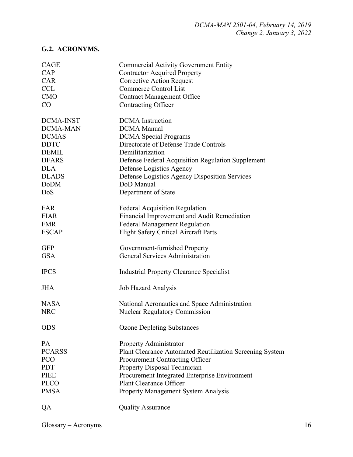## **G.2. ACRONYMS.**

| <b>CAGE</b>      | <b>Commercial Activity Government Entity</b>             |
|------------------|----------------------------------------------------------|
| CAP              | <b>Contractor Acquired Property</b>                      |
| <b>CAR</b>       | <b>Corrective Action Request</b>                         |
| <b>CCL</b>       | <b>Commerce Control List</b>                             |
| <b>CMO</b>       | <b>Contract Management Office</b>                        |
| CO               | <b>Contracting Officer</b>                               |
| <b>DCMA-INST</b> | <b>DCMA</b> Instruction                                  |
| <b>DCMA-MAN</b>  | <b>DCMA</b> Manual                                       |
| <b>DCMAS</b>     | <b>DCMA</b> Special Programs                             |
| <b>DDTC</b>      | Directorate of Defense Trade Controls                    |
| <b>DEMIL</b>     | Demilitarization                                         |
| <b>DFARS</b>     | Defense Federal Acquisition Regulation Supplement        |
| <b>DLA</b>       | Defense Logistics Agency                                 |
| <b>DLADS</b>     | Defense Logistics Agency Disposition Services            |
| <b>DoDM</b>      | DoD Manual                                               |
| DoS              |                                                          |
|                  | Department of State                                      |
| FAR              | <b>Federal Acquisition Regulation</b>                    |
| <b>FIAR</b>      | Financial Improvement and Audit Remediation              |
| <b>FMR</b>       | <b>Federal Management Regulation</b>                     |
| <b>FSCAP</b>     | Flight Safety Critical Aircraft Parts                    |
|                  |                                                          |
| <b>GFP</b>       | Government-furnished Property                            |
| <b>GSA</b>       | <b>General Services Administration</b>                   |
| <b>IPCS</b>      | <b>Industrial Property Clearance Specialist</b>          |
| <b>JHA</b>       | Job Hazard Analysis                                      |
| <b>NASA</b>      | National Aeronautics and Space Administration            |
| <b>NRC</b>       | <b>Nuclear Regulatory Commission</b>                     |
|                  |                                                          |
| <b>ODS</b>       | <b>Ozone Depleting Substances</b>                        |
| PA               | Property Administrator                                   |
| <b>PCARSS</b>    | Plant Clearance Automated Reutilization Screening System |
| <b>PCO</b>       | Procurement Contracting Officer                          |
| <b>PDT</b>       | Property Disposal Technician                             |
| <b>PIEE</b>      | Procurement Integrated Enterprise Environment            |
| <b>PLCO</b>      | <b>Plant Clearance Officer</b>                           |
| <b>PMSA</b>      | Property Management System Analysis                      |
| QA               | <b>Quality Assurance</b>                                 |
|                  |                                                          |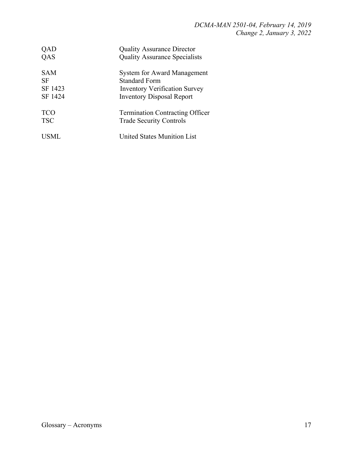| QAD        | <b>Quality Assurance Director</b>      |
|------------|----------------------------------------|
| QAS        | <b>Quality Assurance Specialists</b>   |
| <b>SAM</b> | <b>System for Award Management</b>     |
| SF         | <b>Standard Form</b>                   |
| SF 1423    | <b>Inventory Verification Survey</b>   |
| SF 1424    | <b>Inventory Disposal Report</b>       |
| <b>TCO</b> | <b>Termination Contracting Officer</b> |
| <b>TSC</b> | <b>Trade Security Controls</b>         |
|            | <b>United States Munition List</b>     |